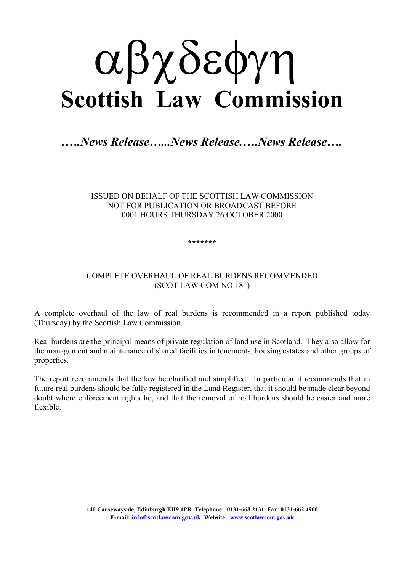# αβχδεφγη **Scottish Law Commission**

# *.….News Release…...News Release.….News Release….*

#### ISSUED ON BEHALF OF THE SCOTTISH LAW COMMISSION NOT FOR PUBLICATION OR BROADCAST BEFORE 0001 HOURS THURSDAY 26 OCTOBER 2000

#### **\*\*\*\*\*\*\***

### COMPLETE OVERHAUL OF REAL BURDENS RECOMMENDED (SCOT LAW COM NO 181)

A complete overhaul of the law of real burdens is recommended in a report published today (Thursday) by the Scottish Law Commission.

Real burdens are the principal means of private regulation of land use in Scotland. They also allow for the management and maintenance of shared facilities in tenements, housing estates and other groups of properties.

The report recommends that the law be clarified and simplified. In particular it recommends that in future real burdens should be fully registered in the Land Register, that it should be made clear beyond doubt where enforcement rights lie, and that the removal of real burdens should be easier and more flexible.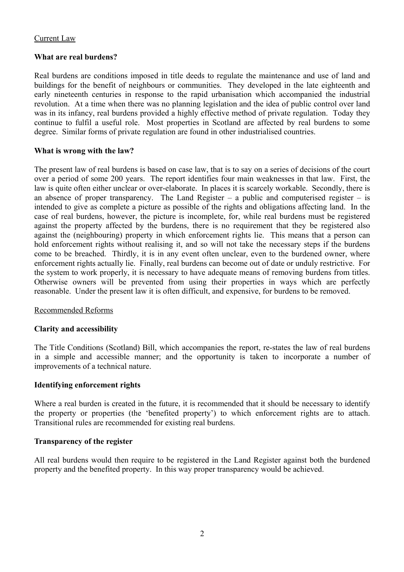## Current Law

## **What are real burdens?**

Real burdens are conditions imposed in title deeds to regulate the maintenance and use of land and buildings for the benefit of neighbours or communities. They developed in the late eighteenth and early nineteenth centuries in response to the rapid urbanisation which accompanied the industrial revolution. At a time when there was no planning legislation and the idea of public control over land was in its infancy, real burdens provided a highly effective method of private regulation. Today they continue to fulfil a useful role. Most properties in Scotland are affected by real burdens to some degree. Similar forms of private regulation are found in other industrialised countries.

# **What is wrong with the law?**

The present law of real burdens is based on case law, that is to say on a series of decisions of the court over a period of some 200 years. The report identifies four main weaknesses in that law. First, the law is quite often either unclear or over-elaborate. In places it is scarcely workable. Secondly, there is an absence of proper transparency. The Land Register – a public and computerised register – is intended to give as complete a picture as possible of the rights and obligations affecting land. In the case of real burdens, however, the picture is incomplete, for, while real burdens must be registered against the property affected by the burdens, there is no requirement that they be registered also against the (neighbouring) property in which enforcement rights lie. This means that a person can hold enforcement rights without realising it, and so will not take the necessary steps if the burdens come to be breached. Thirdly, it is in any event often unclear, even to the burdened owner, where enforcement rights actually lie. Finally, real burdens can become out of date or unduly restrictive. For the system to work properly, it is necessary to have adequate means of removing burdens from titles. Otherwise owners will be prevented from using their properties in ways which are perfectly reasonable. Under the present law it is often difficult, and expensive, for burdens to be removed.

# Recommended Reforms

## **Clarity and accessibility**

The Title Conditions (Scotland) Bill, which accompanies the report, re-states the law of real burdens in a simple and accessible manner; and the opportunity is taken to incorporate a number of improvements of a technical nature.

## **Identifying enforcement rights**

Where a real burden is created in the future, it is recommended that it should be necessary to identify the property or properties (the 'benefited property') to which enforcement rights are to attach. Transitional rules are recommended for existing real burdens.

#### **Transparency of the register**

All real burdens would then require to be registered in the Land Register against both the burdened property and the benefited property. In this way proper transparency would be achieved.